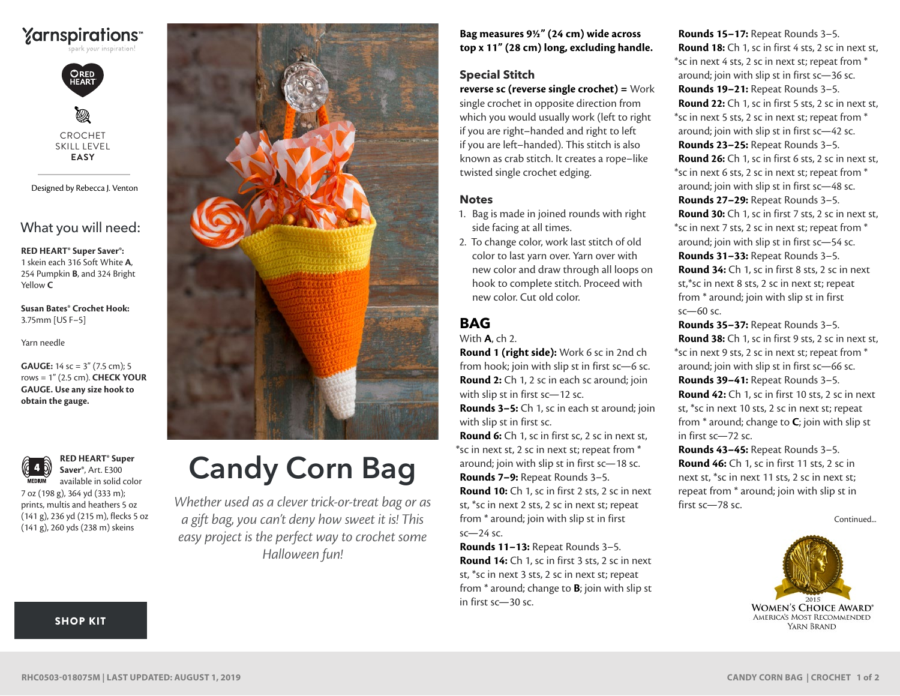

CROCHET SKILL LEVEL **EASY**

Designed by Rebecca J. Venton

What you will need:

**RED HEART® Super Saver®:** 1 skein each 316 Soft White **A**, 254 Pumpkin **B**, and 324 Bright Yellow **C**

**Susan Bates® Crochet Hook:** 3.75mm [US F–5]

Yarn needle

rows = 1" (2.5 cm). **CHECK YOUR GAUGE. Use any size hook to obtain the gauge. GAUGE:** 14 sc = 3" (7.5 cm); 5



**RED HEART® Super Saver®**, Art. E300 available in solid color

7 oz (198 g), 364 yd (333 m); prints, multis and heathers 5 oz (141 g), 236 yd (215 m), flecks 5 oz (141 g), 260 yds (238 m) skeins



# Candy Corn Bag

*Whether used as a clever trick-or-treat bag or as a gift bag, you can't deny how sweet it is! This easy project is the perfect way to crochet some Halloween fun!*

**Bag measures 9½" (24 cm) wide across top x 11" (28 cm) long, excluding handle.**

#### **Special Stitch**

**reverse sc (reverse single crochet) =** Work single crochet in opposite direction from which you would usually work (left to right if you are right–handed and right to left if you are left–handed). This stitch is also known as crab stitch. It creates a rope–like twisted single crochet edging.

#### **Notes**

- 1. Bag is made in joined rounds with right side facing at all times.
- 2. To change color, work last stitch of old color to last yarn over. Yarn over with new color and draw through all loops on hook to complete stitch. Proceed with new color. Cut old color.

## **BAG**

With **A**, ch 2.

**Round 1 (right side):** Work 6 sc in 2nd ch from hook; join with slip st in first sc—6 sc. **Round 2:** Ch 1, 2 sc in each sc around; join with slip st in first sc—12 sc.

**Rounds 3–5:** Ch 1, sc in each st around; join with slip st in first sc.

**Round 6:** Ch 1, sc in first sc, 2 sc in next st, \*sc in next st, 2 sc in next st; repeat from \* around; join with slip st in first sc—18 sc. **Rounds 7–9:** Repeat Rounds 3–5. **Round 10:** Ch 1, sc in first 2 sts, 2 sc in next st, \*sc in next 2 sts, 2 sc in next st; repeat from \* around; join with slip st in first sc—24 sc.

**Rounds 11–13:** Repeat Rounds 3–5. **Round 14:** Ch 1, sc in first 3 sts, 2 sc in next st, \*sc in next 3 sts, 2 sc in next st; repeat from \* around; change to **B**; join with slip st in first sc—30 sc.

**Rounds 15–17:** Repeat Rounds 3–5. **Round 18:** Ch 1, sc in first 4 sts, 2 sc in next st, \*sc in next 4 sts, 2 sc in next st; repeat from \* around; join with slip st in first sc—36 sc. **Rounds 19–21:** Repeat Rounds 3–5. **Round 22:** Ch 1, sc in first 5 sts, 2 sc in next st, \*sc in next 5 sts, 2 sc in next st; repeat from \* around; join with slip st in first sc—42 sc. **Rounds 23–25:** Repeat Rounds 3–5. **Round 26:** Ch 1, sc in first 6 sts, 2 sc in next st, \*sc in next 6 sts, 2 sc in next st; repeat from \* around; join with slip st in first sc—48 sc. **Rounds 27–29:** Repeat Rounds 3–5. **Round 30:** Ch 1, sc in first 7 sts, 2 sc in next st, \*sc in next 7 sts, 2 sc in next st; repeat from \* around; join with slip st in first sc—54 sc. **Rounds 31–33:** Repeat Rounds 3–5. **Round 34:** Ch 1, sc in first 8 sts, 2 sc in next st,\*sc in next 8 sts, 2 sc in next st; repeat from \* around; join with slip st in first sc—60 sc.

**Rounds 35–37:** Repeat Rounds 3–5. **Round 38:** Ch 1, sc in first 9 sts, 2 sc in next st, \*sc in next 9 sts, 2 sc in next st; repeat from \* around; join with slip st in first sc—66 sc. **Rounds 39–41:** Repeat Rounds 3–5.

**Round 42:** Ch 1, sc in first 10 sts, 2 sc in next st, \*sc in next 10 sts, 2 sc in next st; repeat from \* around; change to **C**; join with slip st in first sc—72 sc.

**Rounds 43–45:** Repeat Rounds 3–5. **Round 46:** Ch 1, sc in first 11 sts, 2 sc in next st, \*sc in next 11 sts, 2 sc in next st; repeat from \* around; join with slip st in first sc—78 sc.

Continued...



#### [SHOP KIT](https://www.yarnspirations.com/red-heart-candy-corn-bag/RHC0503-018075M.html#utm_source=pdf-yarnspirations&utm_medium=referral&utm_campaign=pdf-RHC0503-018075M)